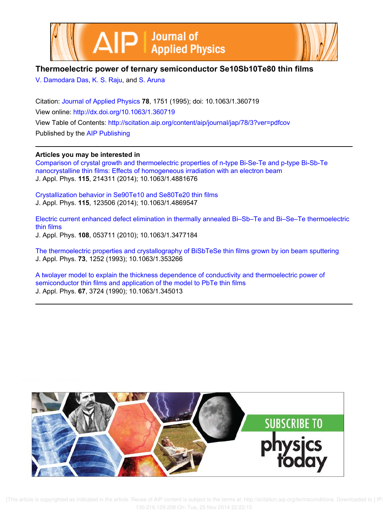



# **Thermoelectric power of ternary semiconductor Se10Sb10Te80 thin films**

V. Damodara Das, K. S. Raju, and S. Aruna

Citation: Journal of Applied Physics **78**, 1751 (1995); doi: 10.1063/1.360719 View online: http://dx.doi.org/10.1063/1.360719 View Table of Contents: http://scitation.aip.org/content/aip/journal/jap/78/3?ver=pdfcov Published by the AIP Publishing

**Articles you may be interested in**

Comparison of crystal growth and thermoelectric properties of n-type Bi-Se-Te and p-type Bi-Sb-Te nanocrystalline thin films: Effects of homogeneous irradiation with an electron beam J. Appl. Phys. **115**, 214311 (2014); 10.1063/1.4881676

Crystallization behavior in Se90Te10 and Se80Te20 thin films J. Appl. Phys. **115**, 123506 (2014); 10.1063/1.4869547

Electric current enhanced defect elimination in thermally annealed Bi–Sb–Te and Bi–Se–Te thermoelectric thin films J. Appl. Phys. **108**, 053711 (2010); 10.1063/1.3477184

The thermoelectric properties and crystallography of BiSbTeSe thin films grown by ion beam sputtering J. Appl. Phys. **73**, 1252 (1993); 10.1063/1.353266

A twolayer model to explain the thickness dependence of conductivity and thermoelectric power of semiconductor thin films and application of the model to PbTe thin films J. Appl. Phys. **67**, 3724 (1990); 10.1063/1.345013



 [This article is copyrighted as indicated in the article. Reuse of AIP content is subject to the terms at: http://scitation.aip.org/termsconditions. Downloaded to ] IP: 130.216.129.208 On: Tue, 25 Nov 2014 22:22:15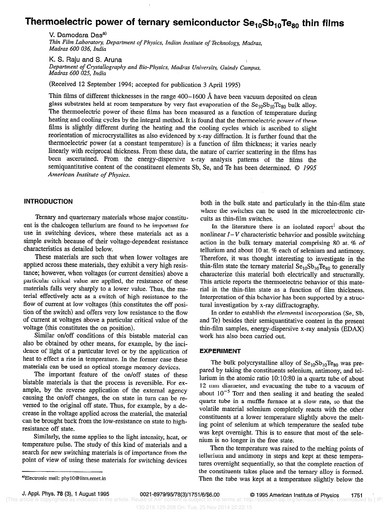# Thermoelectric power of ternary semiconductor  $Se_{10}Se_{10}Te_{80}$  thin films

v. Damodara Das Thin Film Laboratory, Department of Physics, Indian Institute of Technology, Madras, Madras 600 036, India

K. S. Raju and S. Aruna Department of Crystallography and Bio-Physics, Madras University, Guindy Campus, Madras 600 025, India

(Received 12 September 1994; accepted for publication 3 April 1995)

Thin films of different thicknesses in the range  $400-1600$  Å have been vacuum deposited on clean glass substrates held at room temperature by very fast evaporation of the  $Se_{10}Se_{10}Te_{80}$  bulk alloy. The thermoelectric power of these films has been measured as a function of temperature during heating and cooling cycles by the integral method. It is found that the thermoelectric power of these films is slightly different during the heating and the cooling cycles which is ascribed to slight reorientation of microcrystallites as also evidenced by x-ray diffraction. It is further found that the thermoelectric power (at a constant temperature) is a function of film thickness; it varies nearly linearly with reciprocal thickness. From these data, the nature of carrier scattering in the films has been ascertained. From the energy-dispersive x-ray analysis patterns of the films the semiquantitative content of the constituent elements Sb, Se, and Te has been determined. © 1995 American Institute of Physics.

#### INTRODUCTION

Ternary and quarternary materials whose major constituent is the chalcogen tellurium are found to be important for use in switching devices, where these materials act as a simple switch because of their voltage-dependent resistance characteristics as detailed below.

These materials are such that when lower voltages are applied across these materials, they exhibit a very high resistance; however, when voltages (or current densities) above a particular critical value are applied, the resistance of these materials falls very sharply to a lower value. Thus, the material effectively acts as a switch of high resistance to the flow of current at low voltages (this constitutes the off position of the switch) and offers very low resistance to the flow of current at voltages above a particular critical value of the voltage (this constitutes the on position).

Similar on/off conditions of this bistable material can also be obtained by other means, for example, by the incidence of light of a particular level or by the application of heat to effect a rise in temperature. In the former case these materials can be used as optical storage memory devices.

The important feature of the on/off states of these bistable materials is that the process is reversible. For example, by the reverse application of the external agency causing the on/off changes, the on state in turn can be reversed to the original off state. Thus, for example, by a decrease in the voltage applied across the material, the material can be brought back from the low-resistance on state to highresistance off state.

Similarly, the same applies to the light intensity, heat, or temperature pulse. The study of this kind of materials and a search for new switching materials is of importance from the point of view of using these materials for switching devices

both in the bulk state and particularly in the thin-film state where the switches can be used in the microelectronic circuits as thin-film switches.

In the literature there is an isolated report<sup>1</sup> about the nonlinear  $I-V$  characteristic behavior and possible switching action in the bulk ternary material comprising 80 at. % of tellurium and about 10 at. % each of selenium and antimony. Therefore, it was thought interesting to investigate in the thin-film state the ternary material  $Se<sub>10</sub>Se<sub>10</sub>Te<sub>80</sub>$  to generally characterize this material both electrically and structurally. This article reports the thermoelectric behavior of this material in the thin-film state as a function of film thickness. Interpretation of this behavior has been supported by a structural investigation by x-ray diffractography.

In order to establish the elemental incorporation (Se, Sb, and Te) besides their semiquantitative content in the present thin-film samples, energy-dispersive x-ray analysis (EDAX) work has also been carried out.

#### EXPERIMENT

The bulk polycrystalline alloy of  $Se_{10}Se_{10}Te_{80}$  was prepared by taking the constituents selenium, antimony, and tellurium in the atomic ratio 10:10:80 in a quartz tube of about 12 mm diameter, and evacuating the tube to a vacuum of about  $10^{-5}$  Torr and then sealing it and heating the sealed quartz tube in a muffle furnace at a slow rate, so that the volatile material selenium completely reacts with the other constituents at a lower temperature slightly above the melting point of selenium at which temperature the sealed tube was kept overnight. This is to ensure that most of the selenium is no longer in the free state.

Then the temperature was raised to the melting points of tellurium and antimony in steps and kept at these temperatures overnight sequentially, so that the complete reaction of the constituents takes place and the ternary alloy is formed. Then the tube was kept at a temperature slightly. below the

a)Electronic mail: phy10@iitm.ernet.in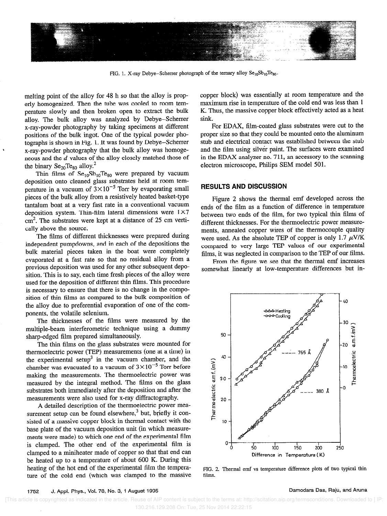

FIG. 1. X-ray Debye–Scherrer photograph of the ternary alloy  $Se_{10}Se_{10}Te_{80}$ .

melting point of the alloy for 48 h so that the alloy is properly homogenized. Then the tube was cooled to room temperature slowly and then broken open to extract the bulk alloy. The bulk alloy was analyzed by Debye-Scherrer x-ray-powder photography by taking specimens at different positions of the bulk ingot. One of the typical powder photographs is shown in Fig. 1. It was found by Debye-Scherrer x-ray-powder photography that the bulk alloy was homogeneous and the d values of the alloy closely matched those of the binary  $Se_{20}Te_{80}$  alloy.<sup>2</sup>

Thin films of  $Se_{10}Se_{10}Te_{80}$  were prepared by vacuum deposition onto cleaned glass substrates held at room temperature in a vacuum of  $3 \times 10^{-5}$  Torr by evaporating small pieces of the bulk alloy from a resistively heated basket-type tantalum boat at a very fast rate in a conventional vacuum deposition system. Thin-film lateral dimensions were  $1 \times 7$ cm'. The substrates were kept at a distance of 25 cm vertically above the source.

The films of different thicknesses were prepared during independent pumpdowns, and in each of the depositions the bulk material pieces taken in the boat were completely evaporated at a fast rate so that no residual alloy from a previous deposition was used for any other subsequent deposition. This is to say, each time fresh pieces of the alloy were used for the deposition of different thin films. This procedure is necessary to ensure that there is no change in the composition of thin films as compared to the bulk composition of the alloy due to preferential evaporation of one of the components, the volatile selenium.

The thicknesses of the films were measured by the multiple-beam interferometric technique using a dummy sharp-edged film prepared simultaneously.

The thin films on the glass substrates were mounted for thermoelectric power (TEP) measurements (one at a time) in the experimental setup<sup>3</sup> in the vacuum chamber, and the chamber was evacuated to a vacuum of  $3 \times 10^{-5}$  Torr before making the measurements. The thermoelectric power was measured by the integral method. The films on the glass substrates both immediately after the deposition and after the measurements were also used for x-ray diffractography.

A detailed description of the thermoelectric power measurement setup can be found elsewhere,<sup>3</sup> but, briefly it consisted of a massive copper block in thermal contact with the base plate of the vacuum deposition unit {in which measurements were made) to which one end of the experimental film is clamped. The other end of the experimental film is clamped to a miniheater made of copper so that that end can be heated up to a temperature of about 600 K. During this heating of the hot end of the experimental film the temperature of the cold end (which was clamped to the massive copper block) was essentially at room temperature and the maximum rise in temperature of the cold end was less than 1 K. Thus, the massive copper block effectively acted as a heat sink

For EDAX, film-coated glass substrates were cut to the proper size so that they could be mounted onto the aluminum stub and electrical contact was established between the stub and the film using silver paint. The surfaces were examined in the EDAX analyzer no. 711, an accessory to the scanning electron microscope, Philips SEM model 501.

## RESULTS AND DISCUSSION

Figure 2 shows the thermal emf developed across the ends of the film as a function of difference in temperature between two ends of the film, for two typical thin films of different thicknesses. For the thermoelectric power measurements, annealed copper wires of the thermocouple quality were used. As the absolute TEP of copper is only 1.7  $\mu$ V/K compared to very large TEP values of our experimental films, it was neglected in comparison to the TEP of our films.

From the figure we see that the thermal emf increases somewhat linearly at low-temperature differences but in-



FIG. 2. Thermal emf vs temperature difference plots of two typical thin films.

### 1752 J. Appl. Phys., Vol. 78, No. 3, 1 August 1995 Damodara Das, Raju, and Aruna

 [This article is copyrighted as indicated in the article. Reuse of AIP content is subject to the terms at: http://scitation.aip.org/termsconditions. Downloaded to ] IP: 130.216.129.208 On: Tue, 25 Nov 2014 22:22:15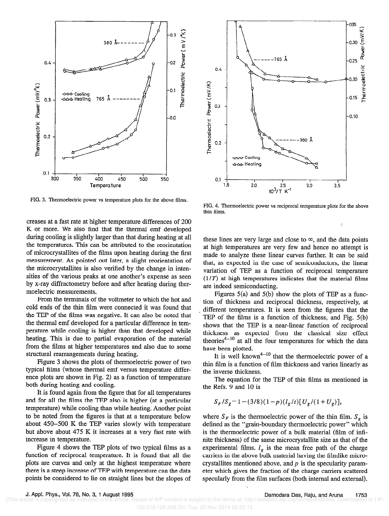

FIG. 3. Thermoelectric power vs temperature plots for the above films.

creases at a fast rate at higher temperature differences of 200 K or more. We also find that the thermal emf developed during cooling is slightly larger than that during heating at all the temperatures. This can be attributed to the reorientation of microcrystallites of the films upon heating during the first measurement. As pointed out later, a slight reorientation of the microcrystallites is also verified by the change in intensities of the various peaks at one another's expense as seen by x-ray diffractometry before and after heating during thermoelectric measurements.

From the terminals of the voltmeter to which the hot and cold ends of the thin film were connected it was found that the TEP of the films was negative. It can also be noted that the thermal emf developed for a particular difference in temperature while cooling is higher than that developed while heating. This is due to partial evaporation of the material from the films at higher temperatures and also due to some structural rearrangements during heating.

Figure 3 shows the plots of thermoelectric power of two typical films (whose thermal emf versus temperature difference plots are shown in Fig. 2) as a function of temperature both during heating and cooling.

It is found again from the figure that for all temperatures and for all the films the TEP also is higher (at a particular temperature) while cooling than while heating. Another point to be noted from the figures is that at a temperature below about 450-500 K the TEP varies slowly with temperature but above about 475 K it increases at a very fast rate with increase in temperature.

Figure 4 shows the TEP plots of two typical films as a function of reciprocal temperature. It is found that all the plots are curves and only at the highest temperature where there is a steep increase of TEP with temperature can the data points be considered to lie on straight lines but the slopes of



FIG. 4. Thermoelectric power vs reciprocal temperature plots for the above thin films.

h

these lines are very large and close to  $\infty$ , and the data points at high temperatures are very few and hence no attempt is made to analyze these linear curves further. It can be said that, as expected in the case of semiconductors, the linear variation of TEP as a function of reciprocal temperature  $(1/T)$  at high temperatures indicates that the material films are indeed semiconducting.

Figures  $5(a)$  and  $5(b)$  show the plots of TEP as a function of thickness and reciprocal thickness, respectively, at different temperatures. It is seen from the figures that the TEP of the films is a function of thickness, and Fig. 5(b) shows that the TEP is a near-linear function of reciprocal thickness as expected from the classical size effect theories<sup>4-10</sup> at all the four temperatures for which the data have been plotted.

It is well known<sup>4-10</sup> that the thermoelectric power of a thin film is a function of film thickness and varies linearly as the inverse thickness.

The equation for the TEP of thin films as mentioned in the Refs. 9 and 10 is

$$
S_F/S_g = 1 - (3/8)(1-p)(l_g/t)[U_g/(1+U_g)],
$$

where  $S_F$  is the thermoelectric power of the thin film.  $S<sub>e</sub>$  is defined as the "grain-boundary thermoelectric power" which is the thermoelectric power of a bulk material (film of infinite thickness) of the same microcrystallite size as that of the experimental films.  $l_g$  is the mean free path of the charge carriers in the above bulk material having the filmlike microcrystallites mentioned above, and  $p$  is the specularity parameter which gives the fraction of the charge carriers scattered specularly from the film surfaces (both internal and external).

Reuse of AIP content is subject to the terms at: http://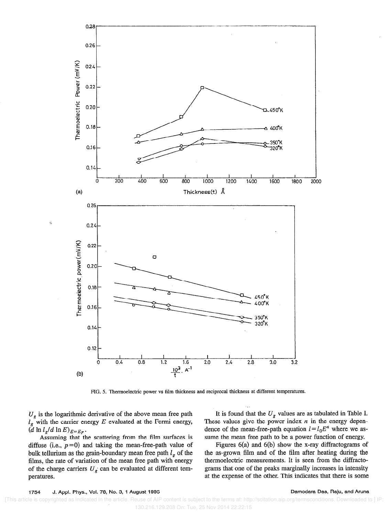

FIG. 5. Thermoelectric power vs film thickness and reciprocal thickness at different temperatures.

 $U<sub>g</sub>$  is the logarithmic derivative of the above mean free path  $l_g$  with the carrier energy E evaluated at the Fermi energy,  $(d \ln l_g/d \ln E)_{E=E_F}.$ 

Assuming that the scattering from the film surfaces is diffuse (i.e.,  $p=0$ ) and taking the mean-free-path value of bulk tellurium as the grain-boundary mean free path  $l_g$  of the films, the rate of variation of the mean free path with energy of the charge carriers  $U<sub>g</sub>$  can be evaluated at different temperatures.

It is found that the  $U_g$  values are as tabulated in Table I. These values give the power index  $n$  in the energy dependence of the mean-free-path equation  $l=l_0E^n$  where we assume the mean free path to be a power function of energy.

Figures 6(a) and 6(b) show the x-ray diffractograms of the as-grown film and of the film after heating during the thermoelectric measurements. It is seen from the diffractograms that one of the peaks marginally increases in intensity at the expense of the other. This indicates that there is some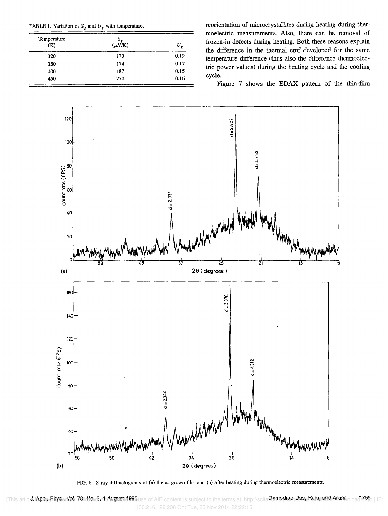|  |  |  |  |  | TABLE I. Variation of $S_g$ and $U_g$ with temperature. |
|--|--|--|--|--|---------------------------------------------------------|
|--|--|--|--|--|---------------------------------------------------------|

| Temperature<br>(K)        | $S_g$<br>( $\mu$ V/K) | U<br>ø |
|---------------------------|-----------------------|--------|
| ******************<br>320 | 170                   | 0.19   |
| 350                       | 174                   | 0.17   |
| 400                       | 187                   | 0.15   |
| 450                       | 270                   | 0.16   |

reorientation of microcrystallites during heating during thermoelectric measurements. Also, there can be removal of frozen-in defects during heating. Both these reasons explain the difference in the thermal emf developed for the same temperature difference (thus also the difference thermoelectric power values) during the heating cycle and the cooling cycle.

Figure 7 shows the EDAX pattern of the thin-film



FIG. 6. X-ray diffractograms of (a) the as-grown film and (b) after heating during thermoelectric measurements.